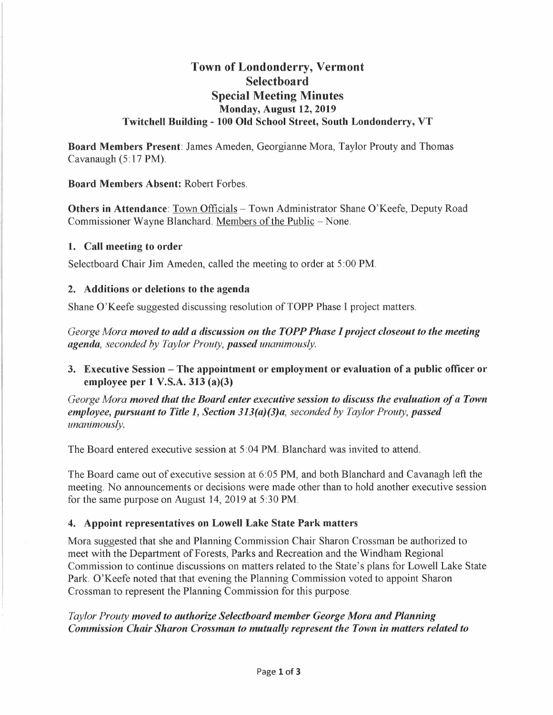# **Town of Londonderry, Vermont Selectboard Special Meeting Minutes Monday, August 12, 2019 Twitchell Building - 100 Old School Street, South Londonderry, VT**

**Board Members Present:** James Ameden, Georgianne Mora, Taylor Prouty and Thomas Cavanaugh (5:17 PM).

**Board Members Absent:** Robert Forbes.

**Others in Attendance:** Town Officials - Town Administrator Shane O'Keefe, Deputy Road Commissioner Wayne Blanchard. Members of the Public - None.

#### **1. Call meeting to order**

Selectboard Chair Jim Ameden, called the meeting to order at 5 :00 PM.

### **2. Additions or deletions to the agenda**

Shane O'Keefe suggested discussing resolution of TOPP Phase I project matters.

*George Mora moved to add a discussion on the TOPP Phase I project closeout to the meeting agenda, seconded by Taylor Prouty, passed unanimously.* 

**3. Executive Session - The appointment or employment or evaluation of a public officer or employee per 1 V.S.A. 313 (a)(3)** 

*George Mora moved that the Board enter executive session to discuss the evaluation of a Town employee, pursuant to Title 1, Section 313(a)(3)a, seconded by Taylor Prouty, passed unanimously.* 

The Board entered executive session at 5 :04 PM. Blanchard was invited to attend.

The Board came out of executive session at 6:05 PM, and both Blanchard and Cavanagh left the meeting. No announcements or decisions were made other than to hold another executive session for the same purpose on August 14, 2019 at 5:30 PM.

### **4. Appoint representatives on Lowell Lake State Park matters**

Mora suggested that she and Planning Commission Chair Sharon Crossman be authorized to meet with the Department of Forests, Parks and Recreation and the Windham Regional Commission to continue discussions on matters related to the State's plans for Lowell Lake State Park. O'Keefe noted that that evening the Planning Commission voted to appoint Sharon Crossman to represent the Planning Commission for this purpose.

*Taylor Prouty moved to authorize Selectboard member George Mora and Planning Commission Chair Sharon Crossman to mutually represent the Town in matters related to*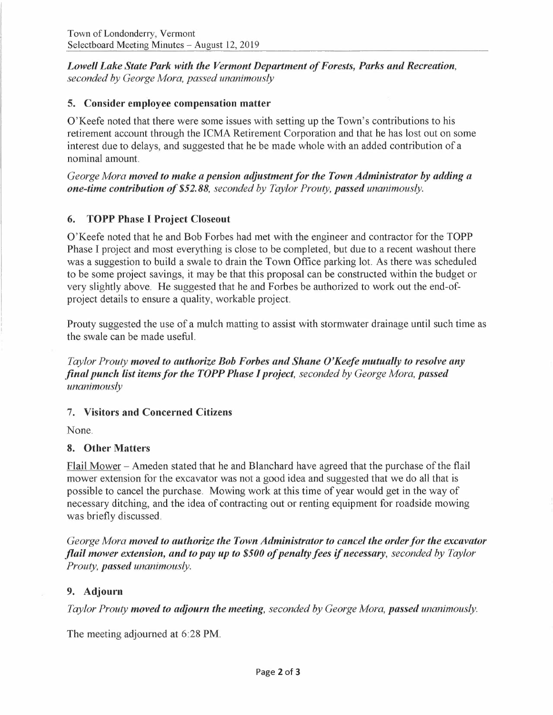*Lowell Lake State Park with the Vermont Department of Forests, Parks and Recreation, seconded by George Mora, passed unanimously* 

#### **5. Consider employee compensation matter**

O'Keefe noted that there were some issues with setting up the Town's contributions to his retirement account through the ICMA Retirement Corporation and that he has lost out on some interest due to delays, and suggested that he be made whole with an added contribution of a nominal amount.

*George Mora moved to make a pension adjustmentfor the Town Administrator by adding a one-time contribution of \$52.88, seconded by Taylor Prouty, passed unanimously.* 

## **6. TOPP Phase** I **Project Closeout**

O'Keefe noted that he and Bob Forbes had met with the engineer and contractor for the TOPP Phase I project and most everything is close to be completed, but due to a recent washout there was a suggestion to build a swale to drain the Town Office parking lot. As there was scheduled to be some project savings, it may be that this proposal can be constructed within the budget or very slightly above. He suggested that he and Forbes be authorized to work out the end-ofproject details to ensure a quality, workable project.

Prouty suggested the use of a mulch matting to assist with stormwater drainage until such time as the swale can be made useful.

*Taylor Prouty moved to authorize Bob Forbes and Shane O'Keefe mutually to resolve any final punch list items for the TOPP Phase I project, seconded by George Mora, passed unanimously* 

### 7. **Visitors and Concerned Citizens**

None.

### **8. Other Matters**

Flail Mower - Ameden stated that he and Blanchard have agreed that the purchase of the flail mower extension for the excavator was not a good idea and suggested that we do all that is possible to cancel the purchase. Mowing work at this time of year would get in the way of necessary ditching, and the idea of contracting out or renting equipment for roadside mowing was briefly discussed.

*George Mora moved to authorize the Town Administrator to cancel the orderfor the excavator flail mower extension, and to pay up to \$500 of penalty fees if necessary, seconded by Taylor Prouty, passed unanimously.* 

#### **9. Adjourn**

*Taylor Prouty moved to adjourn the meeting, seconded by George Mora, passed unanimously.* 

The meeting adjourned at 6:28 PM.